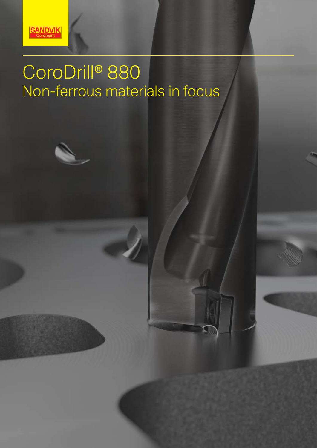

# CoroDrill® 880 Non-ferrous materials in focus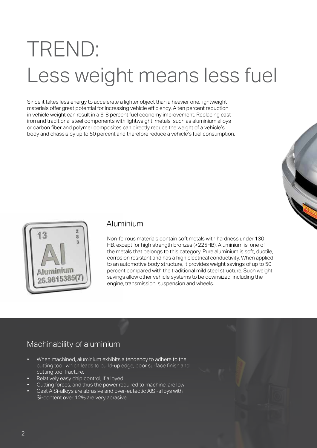# TREND: Less weight means less fuel

Since it takes less energy to accelerate a lighter object than a heavier one, lightweight materials offer great potential for increasing vehicle efficiency. A ten percent reduction in vehicle weight can result in a 6-8 percent fuel economy improvement. Replacing cast iron and traditional steel components with lightweight metals such as aluminium alloys or carbon fiber and polymer composites can directly reduce the weight of a vehicle's body and chassis by up to 50 percent and therefore reduce a vehicle's fuel consumption.





#### Aluminium

Non-ferrous materials contain soft metals with hardness under 130 HB, except for high strength bronzes (>225HB). Aluminium is one of the metals that belongs to this category. Pure aluminium is soft, ductile, corrosion resistant and has a high electrical conductivity. When applied to an automotive body structure, it provides weight savings of up to 50 percent compared with the traditional mild steel structure. Such weight savings allow other vehicle systems to be downsized, including the engine, transmission, suspension and wheels.

# Machinability of aluminium

- When machined, aluminium exhibits a tendency to adhere to the cutting tool, which leads to build-up edge, poor surface finish and cutting tool fracture.
- Relatively easy chip control, if alloyed
- Cutting forces, and thus the power required to machine, are low
- Cast AlSi-alloys are abrasive and over-eutectic AlSi-alloys with Si-content over 12% are very abrasive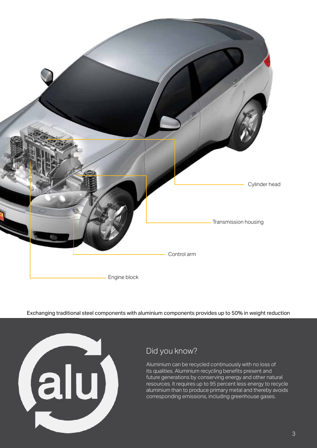

Exchanging traditional steel components with aluminium components provides up to 50% in weight reduction



# Did you know?

Aluminium can be recycled continuously with no loss of its qualities. Aluminium recycling benefits present and future generations by conserving energy and other natural resources. It requires up to 95 percent less energy to recycle aluminium than to produce primary metal and thereby avoids corresponding emissions, including greenhouse gases.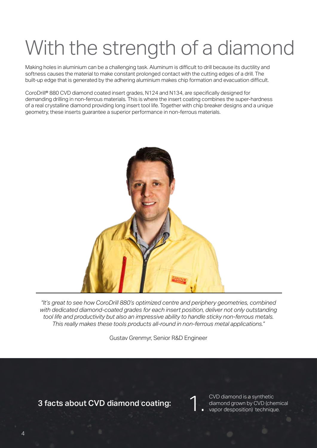# With the strength of a diamond

Making holes in aluminium can be a challenging task. Aluminum is difficult to drill because its ductility and softness causes the material to make constant prolonged contact with the cutting edges of a drill. The built-up edge that is generated by the adhering aluminium makes chip formation and evacuation difficult.

CoroDrill® 880 CVD diamond coated insert grades, N124 and N134, are specifically designed for demanding drilling in non-ferrous materials. This is where the insert coating combines the super-hardness of a real crystalline diamond providing long insert tool life. Together with chip breaker designs and a unique geometry, these inserts guarantee a superior performance in non-ferrous materials.



*"It's great to see how CoroDrill 880's optimized centre and periphery geometries, combined with dedicated diamond-coated grades for each insert position, deliver not only outstanding tool life and productivity but also an impressive ability to handle sticky non-ferrous metals. This really makes these tools products all-round in non-ferrous metal applications."*

Gustav Grenmyr, Senior R&D Engineer

### 3 facts about CVD diamond coating:

CVD diamond is a synthetic diamond grown by CVD (chemical vapor desposition) technique. 1.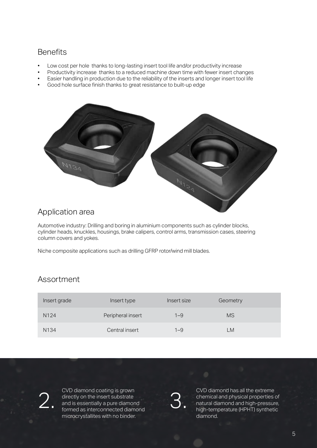### **Benefits**

- Low cost per hole thanks to long-lasting insert tool life and/or productivity increase
- Productivity increase thanks to a reduced machine down time with fewer insert changes
- Easier handling in production due to the reliability of the inserts and longer insert tool life
- Good hole surface finish thanks to great resistance to built-up edge



### Application area

Automotive industry: Drilling and boring in aluminium components such as cylinder blocks, cylinder heads, knuckles, housings, brake calipers, control arms, transmission cases, steering column covers and yokes.

Niche composite applications such as drilling GFRP rotor/wind mill blades.

### Assortment

| Insert grade     | Insert type       | Insert size | Geometry  |
|------------------|-------------------|-------------|-----------|
| N <sub>124</sub> | Peripheral insert | $1 - 9$     | <b>MS</b> |
| N134             | Central insert    | $1 - 9$     | LM        |

CVD diamond coating is grown directly on the insert substrate and is essentially a pure diamond Formed as interconnected diamond<br>
Formed as interconnected diamond<br>
microcrystallites with no binder microcrystallites with no binder.

CVD diamond has all the extreme chemical and physical properties of natural diamond and high-pressure, high-temperature (HPHT) synthetic diamond.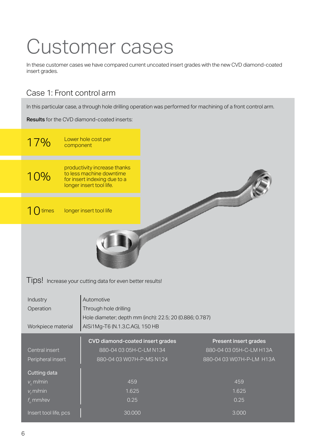# Customer cases

In these customer cases we have compared current uncoated insert grades with the new CVD diamond-coated insert grades.

# Case 1: Front control arm

In this particular case, a through hole drilling operation was performed for machining of a front control arm.

Results for the CVD diamond-coated inserts:

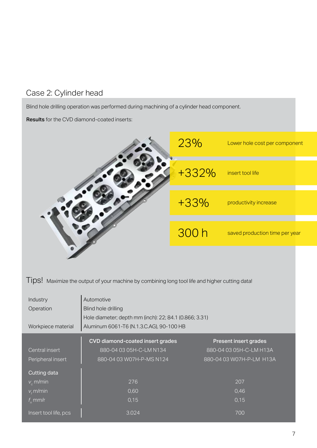# Case 2: Cylinder head

Blind hole drilling operation was performed during machining of a cylinder head component.

#### Results for the CVD diamond-coated inserts:

| 23%    | Lower hole cost per component  |
|--------|--------------------------------|
| +332%  | insert tool life               |
| $+33%$ | productivity increase          |
| 300h   | saved production time per year |
|        |                                |

Tips! Maximize the output of your machine by combining long tool life and higher cutting data!

| Industry<br>Operation<br>Workpiece material | Automotive<br>Blind hole drilling<br>Hole diameter; depth mm (inch): 22; 84.1 (0.866; 3.31)<br>Aluminum 6061-T6 (N.1.3.C.AG), 90-100 HB |                              |  |  |  |
|---------------------------------------------|-----------------------------------------------------------------------------------------------------------------------------------------|------------------------------|--|--|--|
|                                             | CVD diamond-coated insert grades                                                                                                        | <b>Present insert grades</b> |  |  |  |
| Central insert                              | 880-04 03 05H-C-LM N134                                                                                                                 | 880-04 03 05H-C-LM H13A      |  |  |  |
| Peripheral insert                           | 880-04 03 W07H-P-MS N124                                                                                                                | 880-04 03 W07H-P-LM H13A     |  |  |  |
| Cutting data                                |                                                                                                                                         |                              |  |  |  |
| $v_{\rm c}$ m/min                           | 276                                                                                                                                     | 207                          |  |  |  |
| $V_f$ m/min                                 | 0,60                                                                                                                                    | 0,46                         |  |  |  |
| $f_{n}$ mm/r                                | 0,15                                                                                                                                    | 0,15                         |  |  |  |
| Insert tool life, pcs                       | 3.024                                                                                                                                   | 700                          |  |  |  |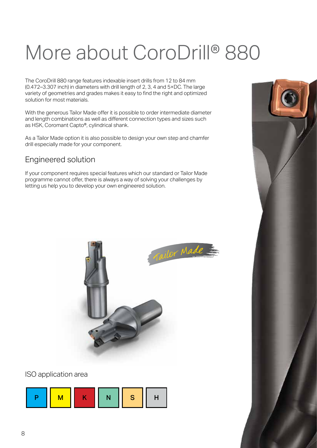# More about CoroDrill® 880

The CoroDrill 880 range features indexable insert drills from 12 to 84 mm (0.472–3.307 inch) in diameters with drill length of 2, 3, 4 and 5×DC. The large variety of geometries and grades makes it easy to find the right and optimized solution for most materials.

With the generous Tailor Made offer it is possible to order intermediate diameter and length combinations as well as different connection types and sizes such as HSK, Coromant Capto®, cylindrical shank.

As a Tailor Made option it is also possible to design your own step and chamfer drill especially made for your component.

### Engineered solution

If your component requires special features which our standard or Tailor Made programme cannot offer, there is always a way of solving your challenges by letting us help you to develop your own engineered solution.



#### ISO application area



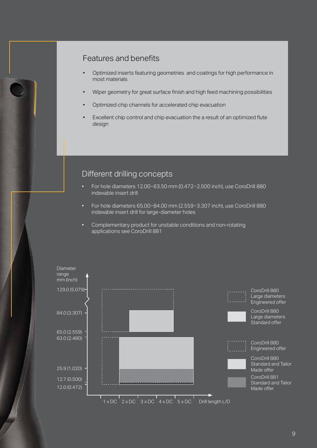### Features and benefits

- Optimized inserts featuring geometries and coatings for high performance in most materials
- Wiper geometry for great surface finish and high feed machining possibilities
- Optimized chip channels for accelerated chip evacuation
- Excellent chip control and chip evacuation the a result of an optimized flute design

#### Different drilling concepts

- For hole diameters 12.00−63.50 mm (0.472−2.500 inch), use CoroDrill 880 indexable insert drill
- For hole diameters 65.00−84.00 mm (2.559−3.307 inch), use CoroDrill 880 indexable insert drill for large-diameter holes
- Complementary product for unstable conditions and non-rotating applications see CoroDrill 881

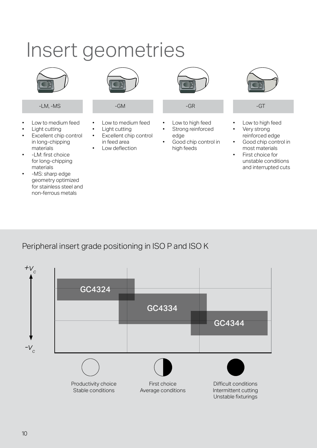# Insert geometries



- Low to medium feed
- Light cutting
- Excellent chip control in long-chipping materials
- -LM: first choice for long-chipping materials
- -MS: sharp edge geometry optimized for stainless steel and non-ferrous metals



- Low to medium feed
- Light cutting
- Excellent chip control in feed area
	- Low deflection



-LM, -MS -GM -GR -GT

- Low to high feed
- Strong reinforced edge
- Good chip control in high feeds



- Low to high feed
- Very strong reinforced edge
- Good chip control in most materials
- First choice for unstable conditions and interrupted cuts

Peripheral insert grade positioning in ISO P and ISO K

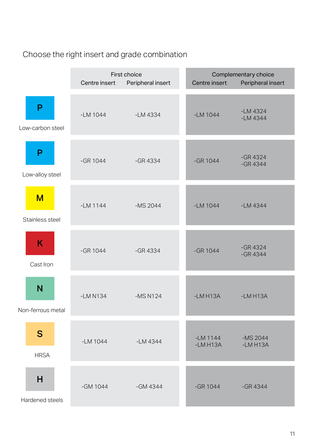# Choose the right insert and grade combination

|                        | First choice<br>Peripheral insert<br>Centre insert |            | Complementary choice<br>Centre insert<br>Peripheral insert |                          |
|------------------------|----------------------------------------------------|------------|------------------------------------------------------------|--------------------------|
| P<br>Low-carbon steel  | $-LM$ 1044                                         | $-LM$ 4334 | $-LM$ 1044                                                 | $-LM$ 4324<br>$-LM$ 4344 |
| P<br>Low-alloy steel   | $-GR$ 1044                                         | $-GR4334$  | $-GR$ 1044                                                 | $-GR4324$<br>$-GR4344$   |
| M<br>Stainless steel   | $-LM$ 1144                                         | $-MS 2044$ | $-LM$ 1044                                                 | $-LM$ 4344               |
| K<br>Cast Iron         | $-GR$ 1044                                         | $-GR4334$  | $-GR$ 1044                                                 | $-GR4324$<br>$-GR4344$   |
| N<br>Non-ferrous metal | $-LM N134$                                         | $-MS N124$ | $-LM$ H13A                                                 | $-LM$ H13A               |
| S<br><b>HRSA</b>       | $-LM$ 1044                                         | $-LM$ 4344 | $-LM$ 1144<br>$-LMH13A$                                    | $-MS$ 2044<br>$-LM$ H13A |
| H<br>Hardened steels   | -GM 1044                                           | $-GM 4344$ | $-GR$ 1044                                                 | $-GR4344$                |